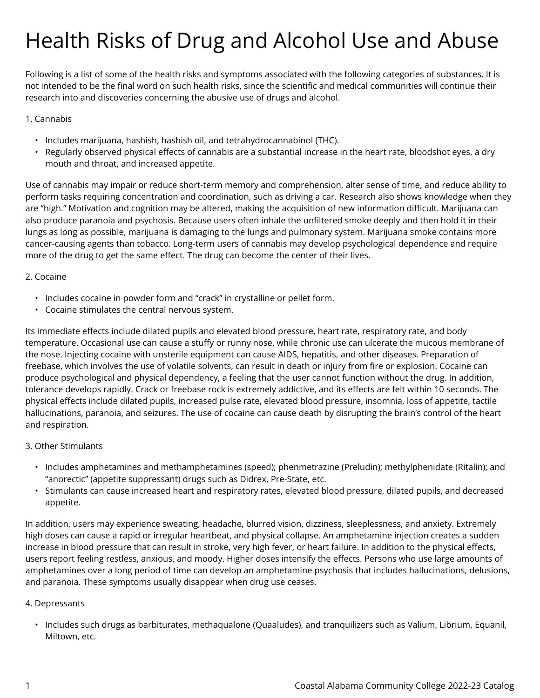# Health Risks of Drug and Alcohol Use and Abuse

Following is a list of some of the health risks and symptoms associated with the following categories of substances. It is not intended to be the final word on such health risks, since the scientific and medical communities will continue their research into and discoveries concerning the abusive use of drugs and alcohol.

# 1. Cannabis

- Includes marijuana, hashish, hashish oil, and tetrahydrocannabinol (THC).
- Regularly observed physical effects of cannabis are a substantial increase in the heart rate, bloodshot eyes, a dry mouth and throat, and increased appetite.

Use of cannabis may impair or reduce short-term memory and comprehension, alter sense of time, and reduce ability to perform tasks requiring concentration and coordination, such as driving a car. Research also shows knowledge when they are "high." Motivation and cognition may be altered, making the acquisition of new information difficult. Marijuana can also produce paranoia and psychosis. Because users often inhale the unfiltered smoke deeply and then hold it in their lungs as long as possible, marijuana is damaging to the lungs and pulmonary system. Marijuana smoke contains more cancer-causing agents than tobacco. Long-term users of cannabis may develop psychological dependence and require more of the drug to get the same effect. The drug can become the center of their lives.

## 2. Cocaine

- Includes cocaine in powder form and "crack" in crystalline or pellet form.
- Cocaine stimulates the central nervous system.

Its immediate effects include dilated pupils and elevated blood pressure, heart rate, respiratory rate, and body temperature. Occasional use can cause a stuffy or runny nose, while chronic use can ulcerate the mucous membrane of the nose. Injecting cocaine with unsterile equipment can cause AIDS, hepatitis, and other diseases. Preparation of freebase, which involves the use of volatile solvents, can result in death or injury from fire or explosion. Cocaine can produce psychological and physical dependency, a feeling that the user cannot function without the drug. In addition, tolerance develops rapidly. Crack or freebase rock is extremely addictive, and its effects are felt within 10 seconds. The physical effects include dilated pupils, increased pulse rate, elevated blood pressure, insomnia, loss of appetite, tactile hallucinations, paranoia, and seizures. The use of cocaine can cause death by disrupting the brain's control of the heart and respiration.

## 3. Other Stimulants

- Includes amphetamines and methamphetamines (speed); phenmetrazine (Preludin); methylphenidate (Ritalin); and "anorectic" (appetite suppressant) drugs such as Didrex, Pre-State, etc.
- Stimulants can cause increased heart and respiratory rates, elevated blood pressure, dilated pupils, and decreased appetite.

In addition, users may experience sweating, headache, blurred vision, dizziness, sleeplessness, and anxiety. Extremely high doses can cause a rapid or irregular heartbeat, and physical collapse. An amphetamine injection creates a sudden increase in blood pressure that can result in stroke, very high fever, or heart failure. In addition to the physical effects, users report feeling restless, anxious, and moody. Higher doses intensify the effects. Persons who use large amounts of amphetamines over a long period of time can develop an amphetamine psychosis that includes hallucinations, delusions, and paranoia. These symptoms usually disappear when drug use ceases.

## 4. Depressants

• Includes such drugs as barbiturates, methaqualone (Quaaludes), and tranquilizers such as Valium, Librium, Equanil, Miltown, etc.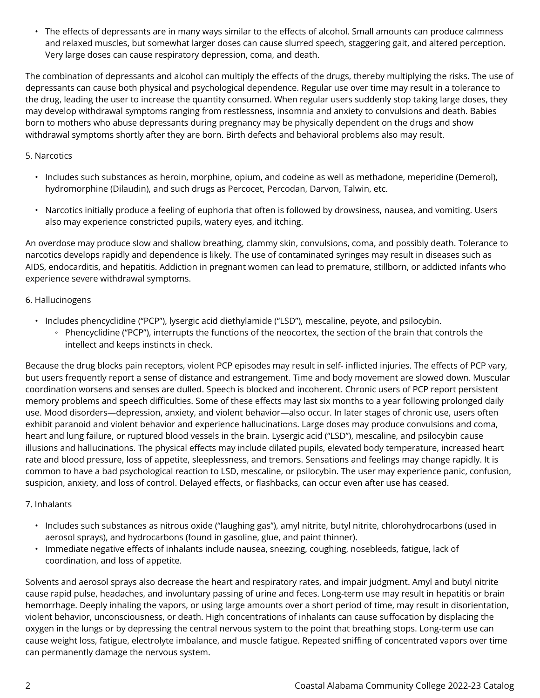• The effects of depressants are in many ways similar to the effects of alcohol. Small amounts can produce calmness and relaxed muscles, but somewhat larger doses can cause slurred speech, staggering gait, and altered perception. Very large doses can cause respiratory depression, coma, and death.

The combination of depressants and alcohol can multiply the effects of the drugs, thereby multiplying the risks. The use of depressants can cause both physical and psychological dependence. Regular use over time may result in a tolerance to the drug, leading the user to increase the quantity consumed. When regular users suddenly stop taking large doses, they may develop withdrawal symptoms ranging from restlessness, insomnia and anxiety to convulsions and death. Babies born to mothers who abuse depressants during pregnancy may be physically dependent on the drugs and show withdrawal symptoms shortly after they are born. Birth defects and behavioral problems also may result.

## 5. Narcotics

- Includes such substances as heroin, morphine, opium, and codeine as well as methadone, meperidine (Demerol), hydromorphine (Dilaudin), and such drugs as Percocet, Percodan, Darvon, Talwin, etc.
- Narcotics initially produce a feeling of euphoria that often is followed by drowsiness, nausea, and vomiting. Users also may experience constricted pupils, watery eyes, and itching.

An overdose may produce slow and shallow breathing, clammy skin, convulsions, coma, and possibly death. Tolerance to narcotics develops rapidly and dependence is likely. The use of contaminated syringes may result in diseases such as AIDS, endocarditis, and hepatitis. Addiction in pregnant women can lead to premature, stillborn, or addicted infants who experience severe withdrawal symptoms.

### 6. Hallucinogens

• Includes phencyclidine ("PCP"), lysergic acid diethylamide ("LSD"), mescaline, peyote, and psilocybin. ◦ Phencyclidine ("PCP"), interrupts the functions of the neocortex, the section of the brain that controls the intellect and keeps instincts in check.

Because the drug blocks pain receptors, violent PCP episodes may result in self- inflicted injuries. The effects of PCP vary, but users frequently report a sense of distance and estrangement. Time and body movement are slowed down. Muscular coordination worsens and senses are dulled. Speech is blocked and incoherent. Chronic users of PCP report persistent memory problems and speech difficulties. Some of these effects may last six months to a year following prolonged daily use. Mood disorders—depression, anxiety, and violent behavior—also occur. In later stages of chronic use, users often exhibit paranoid and violent behavior and experience hallucinations. Large doses may produce convulsions and coma, heart and lung failure, or ruptured blood vessels in the brain. Lysergic acid ("LSD"), mescaline, and psilocybin cause illusions and hallucinations. The physical effects may include dilated pupils, elevated body temperature, increased heart rate and blood pressure, loss of appetite, sleeplessness, and tremors. Sensations and feelings may change rapidly. It is common to have a bad psychological reaction to LSD, mescaline, or psilocybin. The user may experience panic, confusion, suspicion, anxiety, and loss of control. Delayed effects, or flashbacks, can occur even after use has ceased.

## 7. Inhalants

- Includes such substances as nitrous oxide ("laughing gas"), amyl nitrite, butyl nitrite, chlorohydrocarbons (used in aerosol sprays), and hydrocarbons (found in gasoline, glue, and paint thinner).
- Immediate negative effects of inhalants include nausea, sneezing, coughing, nosebleeds, fatigue, lack of coordination, and loss of appetite.

Solvents and aerosol sprays also decrease the heart and respiratory rates, and impair judgment. Amyl and butyl nitrite cause rapid pulse, headaches, and involuntary passing of urine and feces. Long-term use may result in hepatitis or brain hemorrhage. Deeply inhaling the vapors, or using large amounts over a short period of time, may result in disorientation, violent behavior, unconsciousness, or death. High concentrations of inhalants can cause suffocation by displacing the oxygen in the lungs or by depressing the central nervous system to the point that breathing stops. Long-term use can cause weight loss, fatigue, electrolyte imbalance, and muscle fatigue. Repeated sniffing of concentrated vapors over time can permanently damage the nervous system.